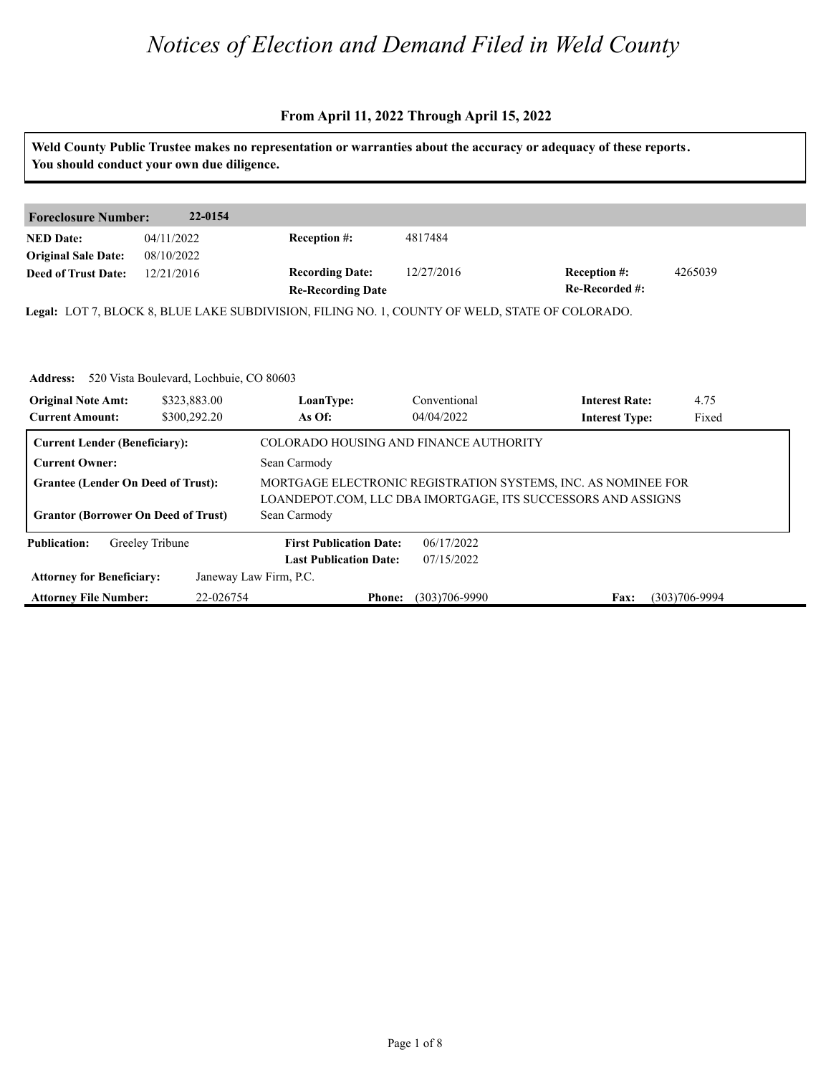|                                                                                                                | You should conduct your own due diligence.                              |                                                                                                |                            | Weld County Public Trustee makes no representation or warranties about the accuracy or adequacy of these reports.             |                   |
|----------------------------------------------------------------------------------------------------------------|-------------------------------------------------------------------------|------------------------------------------------------------------------------------------------|----------------------------|-------------------------------------------------------------------------------------------------------------------------------|-------------------|
|                                                                                                                |                                                                         |                                                                                                |                            |                                                                                                                               |                   |
| <b>Foreclosure Number:</b>                                                                                     | 22-0154                                                                 |                                                                                                |                            |                                                                                                                               |                   |
| <b>NED Date:</b><br><b>Original Sale Date:</b>                                                                 | 04/11/2022<br>08/10/2022                                                | <b>Reception #:</b>                                                                            | 4817484                    |                                                                                                                               |                   |
| <b>Deed of Trust Date:</b>                                                                                     | 12/21/2016                                                              | <b>Recording Date:</b><br><b>Re-Recording Date</b>                                             | 12/27/2016                 | Reception #:<br>Re-Recorded #:                                                                                                | 4265039           |
|                                                                                                                |                                                                         | Legal: LOT 7, BLOCK 8, BLUE LAKE SUBDIVISION, FILING NO. 1, COUNTY OF WELD, STATE OF COLORADO. |                            |                                                                                                                               |                   |
| <b>Address:</b><br><b>Original Note Amt:</b><br><b>Current Amount:</b><br><b>Current Lender (Beneficiary):</b> | 520 Vista Boulevard, Lochbuie, CO 80603<br>\$323,883.00<br>\$300,292.20 | LoanType:<br>As Of:<br>COLORADO HOUSING AND FINANCE AUTHORITY                                  | Conventional<br>04/04/2022 | <b>Interest Rate:</b><br><b>Interest Type:</b>                                                                                | 4.75<br>Fixed     |
| <b>Current Owner:</b>                                                                                          |                                                                         | Sean Carmody                                                                                   |                            |                                                                                                                               |                   |
| <b>Grantee (Lender On Deed of Trust):</b><br><b>Grantor (Borrower On Deed of Trust)</b>                        |                                                                         | Sean Carmody                                                                                   |                            | MORTGAGE ELECTRONIC REGISTRATION SYSTEMS, INC. AS NOMINEE FOR<br>LOANDEPOT.COM, LLC DBA IMORTGAGE, ITS SUCCESSORS AND ASSIGNS |                   |
| <b>Publication:</b>                                                                                            | Greeley Tribune                                                         | <b>First Publication Date:</b><br><b>Last Publication Date:</b>                                | 06/17/2022<br>07/15/2022   |                                                                                                                               |                   |
| <b>Attorney for Beneficiary:</b>                                                                               |                                                                         | Janeway Law Firm, P.C.                                                                         |                            |                                                                                                                               |                   |
| <b>Attorney File Number:</b>                                                                                   | 22-026754                                                               | <b>Phone:</b>                                                                                  | $(303)706 - 9990$          | Fax:                                                                                                                          | $(303)706 - 9994$ |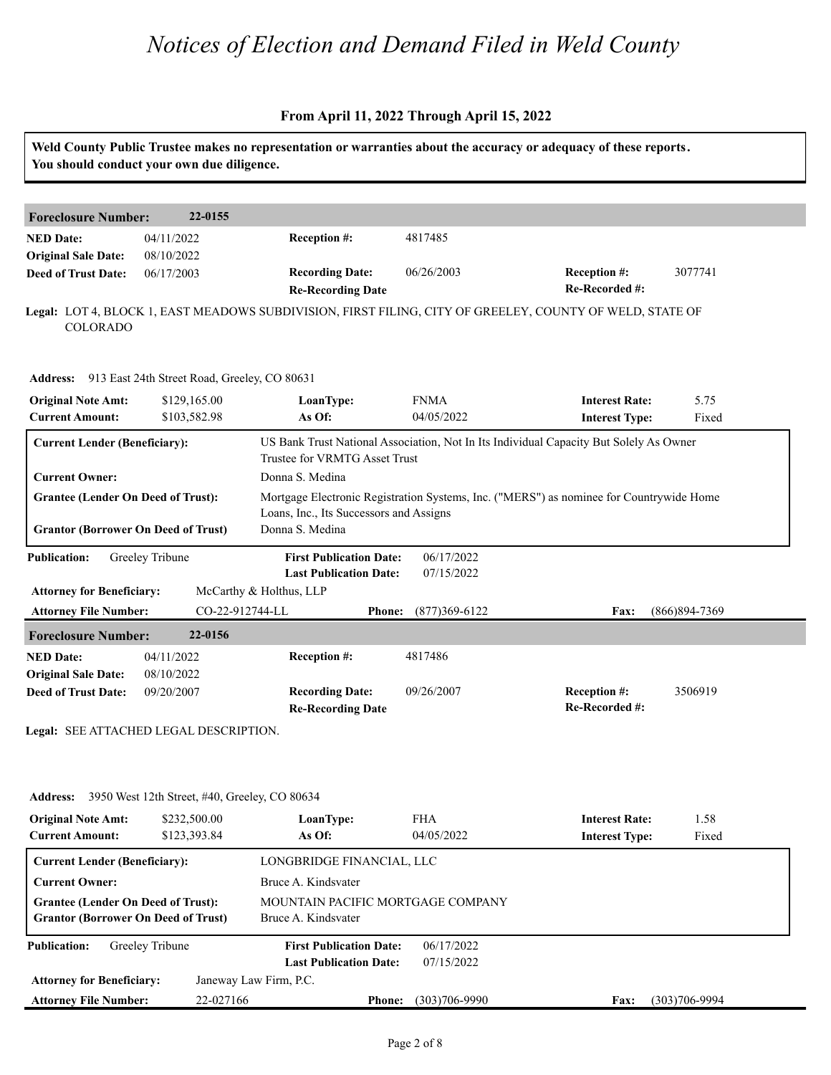#### **From April 11, 2022 Through April 15, 2022**

| You should conduct your own due diligence.                                                                       |                                                               |                                                                                                          |                   |                                                                                         |                   |
|------------------------------------------------------------------------------------------------------------------|---------------------------------------------------------------|----------------------------------------------------------------------------------------------------------|-------------------|-----------------------------------------------------------------------------------------|-------------------|
|                                                                                                                  |                                                               |                                                                                                          |                   |                                                                                         |                   |
| <b>Foreclosure Number:</b>                                                                                       | 22-0155                                                       |                                                                                                          |                   |                                                                                         |                   |
| <b>NED Date:</b>                                                                                                 | 04/11/2022                                                    | Reception #:                                                                                             | 4817485           |                                                                                         |                   |
| <b>Original Sale Date:</b>                                                                                       | 08/10/2022                                                    |                                                                                                          |                   |                                                                                         |                   |
| <b>Deed of Trust Date:</b>                                                                                       | 06/17/2003                                                    | <b>Recording Date:</b><br><b>Re-Recording Date</b>                                                       | 06/26/2003        | Reception #:<br>Re-Recorded #:                                                          | 3077741           |
| <b>COLORADO</b>                                                                                                  |                                                               | Legal: LOT 4, BLOCK 1, EAST MEADOWS SUBDIVISION, FIRST FILING, CITY OF GREELEY, COUNTY OF WELD, STATE OF |                   |                                                                                         |                   |
|                                                                                                                  | Address: 913 East 24th Street Road, Greeley, CO 80631         |                                                                                                          |                   |                                                                                         |                   |
| <b>Original Note Amt:</b>                                                                                        | \$129,165.00                                                  | LoanType:                                                                                                | <b>FNMA</b>       | <b>Interest Rate:</b>                                                                   | 5.75              |
| <b>Current Amount:</b>                                                                                           | \$103,582.98                                                  | As Of:                                                                                                   | 04/05/2022        | <b>Interest Type:</b>                                                                   | Fixed             |
|                                                                                                                  |                                                               | Trustee for VRMTG Asset Trust                                                                            |                   |                                                                                         |                   |
| <b>Current Owner:</b><br><b>Grantee (Lender On Deed of Trust):</b><br><b>Grantor (Borrower On Deed of Trust)</b> |                                                               | Donna S. Medina<br>Loans, Inc., Its Successors and Assigns<br>Donna S. Medina                            |                   | Mortgage Electronic Registration Systems, Inc. ("MERS") as nominee for Countrywide Home |                   |
| <b>Publication:</b>                                                                                              | Greeley Tribune                                               | <b>First Publication Date:</b>                                                                           | 06/17/2022        |                                                                                         |                   |
|                                                                                                                  |                                                               | <b>Last Publication Date:</b><br>McCarthy & Holthus, LLP                                                 | 07/15/2022        |                                                                                         |                   |
| <b>Attorney for Beneficiary:</b><br><b>Attorney File Number:</b>                                                 | CO-22-912744-LL                                               | <b>Phone:</b>                                                                                            | $(877)369 - 6122$ | Fax:                                                                                    | $(866)894 - 7369$ |
| <b>Foreclosure Number:</b>                                                                                       | 22-0156                                                       |                                                                                                          |                   |                                                                                         |                   |
| <b>NED Date:</b>                                                                                                 | 04/11/2022                                                    | Reception #:                                                                                             | 4817486           |                                                                                         |                   |
| <b>Original Sale Date:</b>                                                                                       | 08/10/2022                                                    |                                                                                                          |                   |                                                                                         |                   |
| <b>Deed of Trust Date:</b>                                                                                       | 09/20/2007                                                    | <b>Recording Date:</b>                                                                                   | 09/26/2007        | Reception #:                                                                            | 3506919           |
|                                                                                                                  |                                                               | <b>Re-Recording Date</b>                                                                                 |                   | Re-Recorded #:                                                                          |                   |
|                                                                                                                  | Legal: SEE ATTACHED LEGAL DESCRIPTION.                        |                                                                                                          |                   |                                                                                         |                   |
| <b>Address:</b>                                                                                                  |                                                               |                                                                                                          |                   |                                                                                         |                   |
| <b>Original Note Amt:</b>                                                                                        | 3950 West 12th Street, #40, Greeley, CO 80634<br>\$232,500.00 | LoanType:                                                                                                | <b>FHA</b>        | <b>Interest Rate:</b>                                                                   | 1.58              |

**Current Lender (Beneficiary):** LONGBRIDGE FINANCIAL, LLC **Current Owner:** Bruce A. Kindsvater **Grantee (Lender On Deed of Trust):** MOUNTAIN PACIFIC MORTGAGE COMPANY **Grantor (Borrower On Deed of Trust)** Bruce A. Kindsvater **Publication: Last Publication Date: First Publication Date:** 06/17/2022 07/15/2022

Janeway Law Firm, P.C.

**Attorney for Beneficiary:**

**Attorney File Number:**

**Phone: Fax:** 22-027166 (303)706-9990 (303)706-9994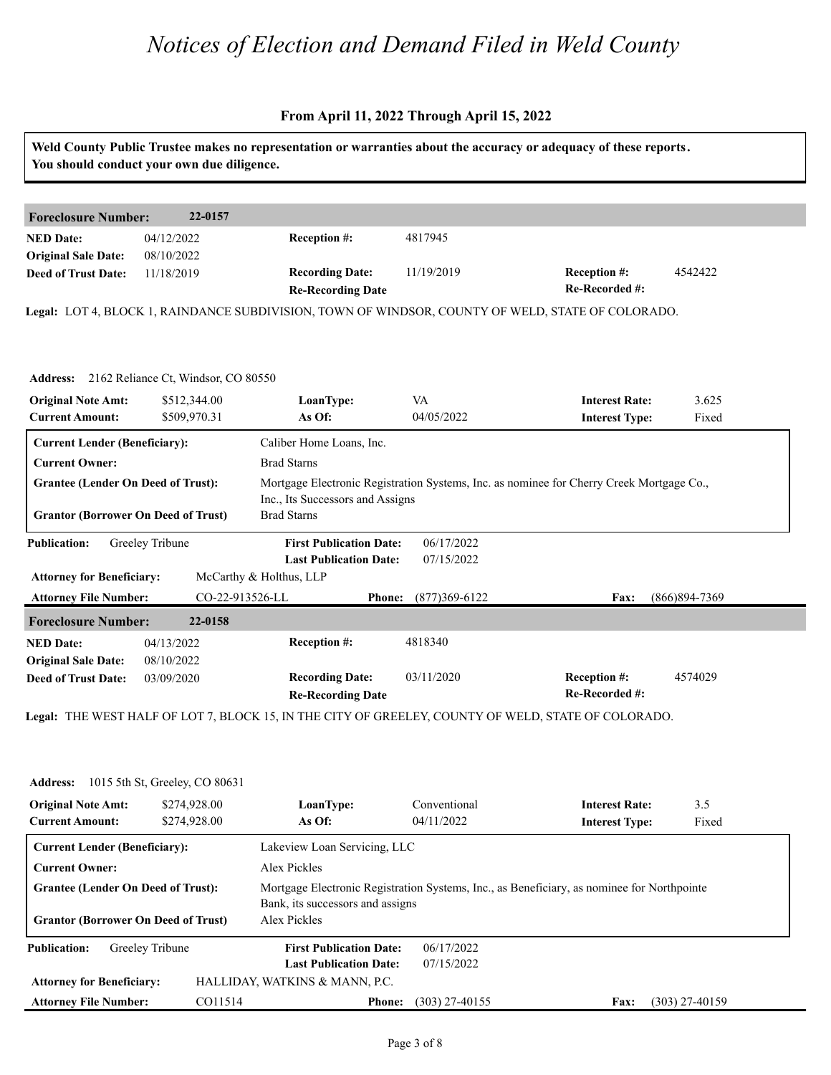#### **From April 11, 2022 Through April 15, 2022**

|                                                     | You should conduct your own due diligence.     |                                                                 |                            | Weld County Public Trustee makes no representation or warranties about the accuracy or adequacy of these reports. |                 |
|-----------------------------------------------------|------------------------------------------------|-----------------------------------------------------------------|----------------------------|-------------------------------------------------------------------------------------------------------------------|-----------------|
| <b>Foreclosure Number:</b>                          | 22-0157                                        |                                                                 |                            |                                                                                                                   |                 |
| <b>NED Date:</b><br><b>Original Sale Date:</b>      | 04/12/2022<br>08/10/2022                       | Reception #:                                                    | 4817945                    |                                                                                                                   |                 |
| <b>Deed of Trust Date:</b>                          | 11/18/2019                                     | <b>Recording Date:</b><br><b>Re-Recording Date</b>              | 11/19/2019                 | Reception #:<br>Re-Recorded #:                                                                                    | 4542422         |
|                                                     |                                                |                                                                 |                            | Legal: LOT 4, BLOCK 1, RAINDANCE SUBDIVISION, TOWN OF WINDSOR, COUNTY OF WELD, STATE OF COLORADO.                 |                 |
|                                                     | Address: 2162 Reliance Ct, Windsor, CO 80550   |                                                                 |                            |                                                                                                                   |                 |
| <b>Original Note Amt:</b>                           | \$512,344.00                                   | LoanType:                                                       | VA                         | <b>Interest Rate:</b>                                                                                             | 3.625           |
| <b>Current Amount:</b>                              | \$509,970.31                                   | As Of:                                                          | 04/05/2022                 | <b>Interest Type:</b>                                                                                             | Fixed           |
| <b>Current Lender (Beneficiary):</b>                |                                                | Caliber Home Loans, Inc.                                        |                            |                                                                                                                   |                 |
| <b>Current Owner:</b>                               |                                                | <b>Brad Starns</b>                                              |                            |                                                                                                                   |                 |
| <b>Grantee (Lender On Deed of Trust):</b>           |                                                | Inc., Its Successors and Assigns                                |                            | Mortgage Electronic Registration Systems, Inc. as nominee for Cherry Creek Mortgage Co.,                          |                 |
| <b>Grantor (Borrower On Deed of Trust)</b>          |                                                | <b>Brad Starns</b>                                              |                            |                                                                                                                   |                 |
| <b>Publication:</b>                                 | Greeley Tribune                                | <b>First Publication Date:</b>                                  | 06/17/2022                 |                                                                                                                   |                 |
|                                                     |                                                | <b>Last Publication Date:</b>                                   | 07/15/2022                 |                                                                                                                   |                 |
| <b>Attorney for Beneficiary:</b>                    |                                                | McCarthy & Holthus, LLP                                         |                            |                                                                                                                   |                 |
| <b>Attorney File Number:</b>                        | CO-22-913526-LL                                | <b>Phone:</b>                                                   | $(877)369 - 6122$          | <b>Fax:</b>                                                                                                       | $(866)894-7369$ |
| <b>Foreclosure Number:</b>                          | 22-0158                                        |                                                                 |                            |                                                                                                                   |                 |
| <b>NED Date:</b><br><b>Original Sale Date:</b>      | 04/13/2022<br>08/10/2022                       | Reception #:                                                    | 4818340                    |                                                                                                                   |                 |
| <b>Deed of Trust Date:</b>                          | 03/09/2020                                     | <b>Recording Date:</b>                                          | 03/11/2020                 | Reception #:                                                                                                      | 4574029         |
|                                                     |                                                | <b>Re-Recording Date</b>                                        |                            | Re-Recorded #:                                                                                                    |                 |
|                                                     |                                                |                                                                 |                            | Legal: THE WEST HALF OF LOT 7, BLOCK 15, IN THE CITY OF GREELEY, COUNTY OF WELD, STATE OF COLORADO.               |                 |
|                                                     |                                                |                                                                 |                            |                                                                                                                   |                 |
|                                                     |                                                |                                                                 |                            |                                                                                                                   |                 |
|                                                     | <b>Address:</b> 1015 5th St, Greeley, CO 80631 |                                                                 |                            |                                                                                                                   |                 |
| <b>Original Note Amt:</b><br><b>Current Amount:</b> | \$274,928.00<br>\$274,928.00                   | LoanType:<br>As Of:                                             | Conventional<br>04/11/2022 | <b>Interest Rate:</b><br><b>Interest Type:</b>                                                                    | 3.5<br>Fixed    |
| <b>Current Lender (Beneficiary):</b>                |                                                | Lakeview Loan Servicing, LLC                                    |                            |                                                                                                                   |                 |
| <b>Current Owner:</b>                               |                                                | Alex Pickles                                                    |                            |                                                                                                                   |                 |
| <b>Grantee (Lender On Deed of Trust):</b>           |                                                |                                                                 |                            | Mortgage Electronic Registration Systems, Inc., as Beneficiary, as nominee for Northpointe                        |                 |
| <b>Grantor (Borrower On Deed of Trust)</b>          |                                                | Bank, its successors and assigns<br><b>Alex Pickles</b>         |                            |                                                                                                                   |                 |
| <b>Publication:</b>                                 | Greeley Tribune                                | <b>First Publication Date:</b><br><b>Last Publication Date:</b> | 06/17/2022<br>07/15/2022   |                                                                                                                   |                 |

HALLIDAY, WATKINS & MANN, P.C.

**Phone: Fax:** CO11514 (303) 27-40155 (303) 27-40159

**Attorney for Beneficiary:**

**Attorney File Number:**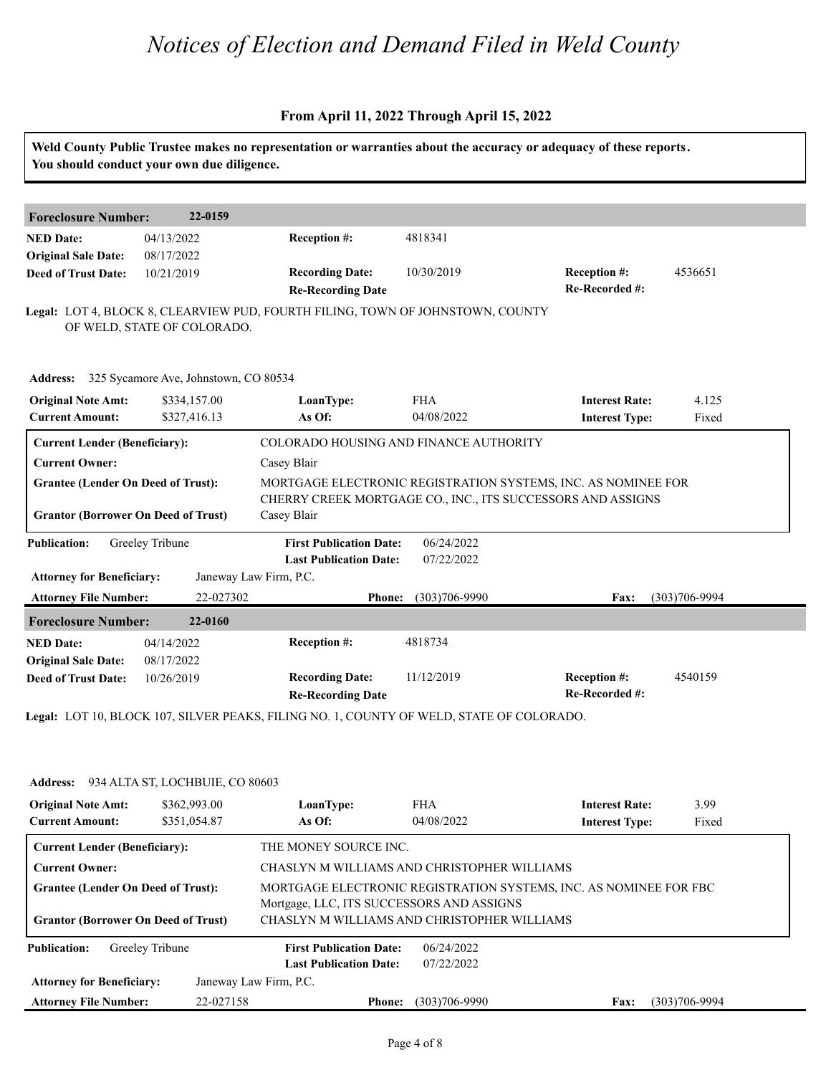|                                                          | You should conduct your own due diligence.     | Weld County Public Trustee makes no representation or warranties about the accuracy or adequacy of these reports. |                          |                                                                   |                   |
|----------------------------------------------------------|------------------------------------------------|-------------------------------------------------------------------------------------------------------------------|--------------------------|-------------------------------------------------------------------|-------------------|
| <b>Foreclosure Number:</b>                               | 22-0159                                        |                                                                                                                   |                          |                                                                   |                   |
| <b>NED Date:</b><br><b>Original Sale Date:</b>           | 04/13/2022<br>08/17/2022                       | Reception #:                                                                                                      | 4818341                  |                                                                   |                   |
| <b>Deed of Trust Date:</b>                               | 10/21/2019                                     | <b>Recording Date:</b><br><b>Re-Recording Date</b>                                                                | 10/30/2019               | Reception #:<br>Re-Recorded #:                                    | 4536651           |
|                                                          | OF WELD, STATE OF COLORADO.                    | Legal: LOT 4, BLOCK 8, CLEARVIEW PUD, FOURTH FILING, TOWN OF JOHNSTOWN, COUNTY                                    |                          |                                                                   |                   |
|                                                          | Address: 325 Sycamore Ave, Johnstown, CO 80534 |                                                                                                                   |                          |                                                                   |                   |
| <b>Original Note Amt:</b><br><b>Current Amount:</b>      | \$334,157.00<br>\$327,416.13                   | LoanType:<br>As Of:                                                                                               | <b>FHA</b><br>04/08/2022 | <b>Interest Rate:</b><br><b>Interest Type:</b>                    | 4.125<br>Fixed    |
| <b>Current Lender (Beneficiary):</b>                     |                                                | COLORADO HOUSING AND FINANCE AUTHORITY                                                                            |                          |                                                                   |                   |
| <b>Current Owner:</b>                                    |                                                | Casey Blair                                                                                                       |                          |                                                                   |                   |
| <b>Grantee (Lender On Deed of Trust):</b>                |                                                |                                                                                                                   |                          | MORTGAGE ELECTRONIC REGISTRATION SYSTEMS, INC. AS NOMINEE FOR     |                   |
| <b>Grantor (Borrower On Deed of Trust)</b>               |                                                | Casey Blair                                                                                                       |                          | CHERRY CREEK MORTGAGE CO., INC., ITS SUCCESSORS AND ASSIGNS       |                   |
| <b>Publication:</b>                                      | Greeley Tribune                                | <b>First Publication Date:</b><br><b>Last Publication Date:</b>                                                   | 06/24/2022<br>07/22/2022 |                                                                   |                   |
| <b>Attorney for Beneficiary:</b>                         |                                                | Janeway Law Firm, P.C.                                                                                            |                          |                                                                   |                   |
| <b>Attorney File Number:</b>                             | 22-027302                                      | <b>Phone:</b>                                                                                                     | $(303)706 - 9990$        | <b>Fax:</b>                                                       | $(303)706 - 9994$ |
| <b>Foreclosure Number:</b>                               | 22-0160                                        |                                                                                                                   |                          |                                                                   |                   |
| <b>NED Date:</b>                                         | 04/14/2022                                     | Reception #:                                                                                                      | 4818734                  |                                                                   |                   |
| <b>Original Sale Date:</b><br><b>Deed of Trust Date:</b> | 08/17/2022<br>10/26/2019                       | <b>Recording Date:</b><br><b>Re-Recording Date</b>                                                                | 11/12/2019               | Reception #:<br>Re-Recorded #:                                    | 4540159           |
|                                                          |                                                | Legal: LOT 10, BLOCK 107, SILVER PEAKS, FILING NO. 1, COUNTY OF WELD, STATE OF COLORADO.                          |                          |                                                                   |                   |
|                                                          |                                                |                                                                                                                   |                          |                                                                   |                   |
|                                                          | Address: 934 ALTA ST, LOCHBUIE, CO 80603       |                                                                                                                   |                          |                                                                   |                   |
| <b>Original Note Amt:</b><br><b>Current Amount:</b>      | \$362,993.00<br>\$351,054.87                   | LoanType:<br>As $Of$ :                                                                                            | <b>FHA</b><br>04/08/2022 | <b>Interest Rate:</b><br><b>Interest Type:</b>                    | 3.99<br>Fixed     |
| <b>Current Lender (Beneficiary):</b>                     |                                                | THE MONEY SOURCE INC.                                                                                             |                          |                                                                   |                   |
| <b>Current Owner:</b>                                    |                                                | CHASLYN M WILLIAMS AND CHRISTOPHER WILLIAMS                                                                       |                          |                                                                   |                   |
| <b>Grantee (Lender On Deed of Trust):</b>                |                                                | Mortgage, LLC, ITS SUCCESSORS AND ASSIGNS<br>CHASLYN M WILLIAMS AND CHRISTOPHER WILLIAMS                          |                          | MORTGAGE ELECTRONIC REGISTRATION SYSTEMS, INC. AS NOMINEE FOR FBC |                   |
| <b>Grantor (Borrower On Deed of Trust)</b>               |                                                |                                                                                                                   |                          |                                                                   |                   |
|                                                          |                                                | <b>First Publication Date:</b>                                                                                    | 06/24/2022               |                                                                   |                   |
| <b>Publication:</b>                                      | Greeley Tribune                                | <b>Last Publication Date:</b>                                                                                     | 07/22/2022               |                                                                   |                   |
| <b>Attorney for Beneficiary:</b>                         |                                                | Janeway Law Firm, P.C.                                                                                            |                          |                                                                   |                   |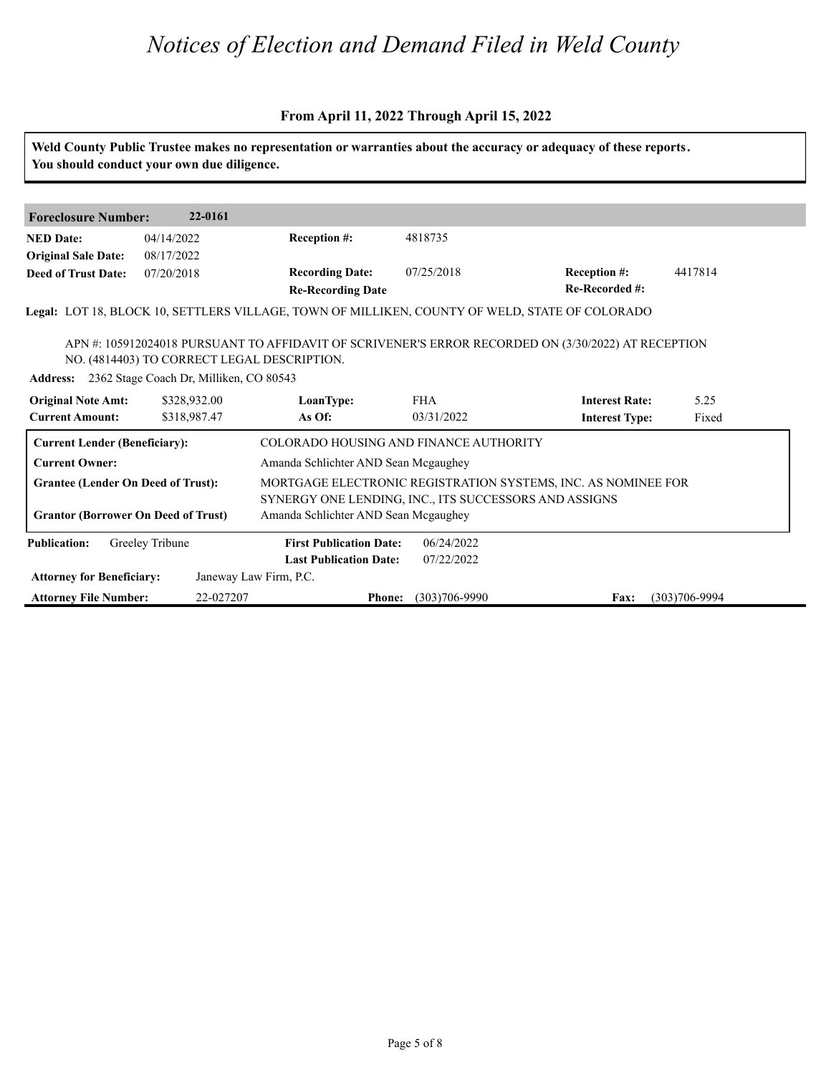|                                                     | You should conduct your own due diligence.                                       |                                                       |                          | Weld County Public Trustee makes no representation or warranties about the accuracy or adequacy of these reports. |                   |
|-----------------------------------------------------|----------------------------------------------------------------------------------|-------------------------------------------------------|--------------------------|-------------------------------------------------------------------------------------------------------------------|-------------------|
|                                                     |                                                                                  |                                                       |                          |                                                                                                                   |                   |
| <b>Foreclosure Number:</b>                          | 22-0161                                                                          |                                                       |                          |                                                                                                                   |                   |
| <b>NED Date:</b>                                    | 04/14/2022                                                                       | <b>Reception #:</b>                                   | 4818735                  |                                                                                                                   |                   |
| <b>Original Sale Date:</b>                          | 08/17/2022                                                                       |                                                       |                          |                                                                                                                   |                   |
| <b>Deed of Trust Date:</b>                          | 07/20/2018                                                                       | <b>Recording Date:</b><br><b>Re-Recording Date</b>    | 07/25/2018               | <b>Reception #:</b><br>Re-Recorded #:                                                                             | 4417814           |
|                                                     |                                                                                  |                                                       |                          | Legal: LOT 18, BLOCK 10, SETTLERS VILLAGE, TOWN OF MILLIKEN, COUNTY OF WELD, STATE OF COLORADO                    |                   |
| <b>Original Note Amt:</b><br><b>Current Amount:</b> | Address: 2362 Stage Coach Dr, Milliken, CO 80543<br>\$328,932.00<br>\$318,987.47 | LoanType:<br>As Of:                                   | <b>FHA</b><br>03/31/2022 | <b>Interest Rate:</b><br><b>Interest Type:</b>                                                                    | 5.25<br>Fixed     |
| <b>Current Lender (Beneficiary):</b>                |                                                                                  | COLORADO HOUSING AND FINANCE AUTHORITY                |                          |                                                                                                                   |                   |
| <b>Current Owner:</b>                               |                                                                                  | Amanda Schlichter AND Sean Mcgaughey                  |                          |                                                                                                                   |                   |
| <b>Grantee (Lender On Deed of Trust):</b>           |                                                                                  |                                                       |                          | MORTGAGE ELECTRONIC REGISTRATION SYSTEMS, INC. AS NOMINEE FOR                                                     |                   |
|                                                     |                                                                                  | SYNERGY ONE LENDING, INC., ITS SUCCESSORS AND ASSIGNS |                          |                                                                                                                   |                   |
| <b>Grantor (Borrower On Deed of Trust)</b>          |                                                                                  | Amanda Schlichter AND Sean Mcgaughey                  |                          |                                                                                                                   |                   |
| <b>Publication:</b>                                 | Greeley Tribune                                                                  | <b>First Publication Date:</b>                        | 06/24/2022               |                                                                                                                   |                   |
|                                                     |                                                                                  | <b>Last Publication Date:</b>                         | 07/22/2022               |                                                                                                                   |                   |
| <b>Attorney for Beneficiary:</b>                    |                                                                                  | Janeway Law Firm, P.C.                                |                          |                                                                                                                   |                   |
| <b>Attorney File Number:</b>                        | 22-027207                                                                        | <b>Phone:</b>                                         | $(303)706 - 9990$        | Fax:                                                                                                              | $(303)706 - 9994$ |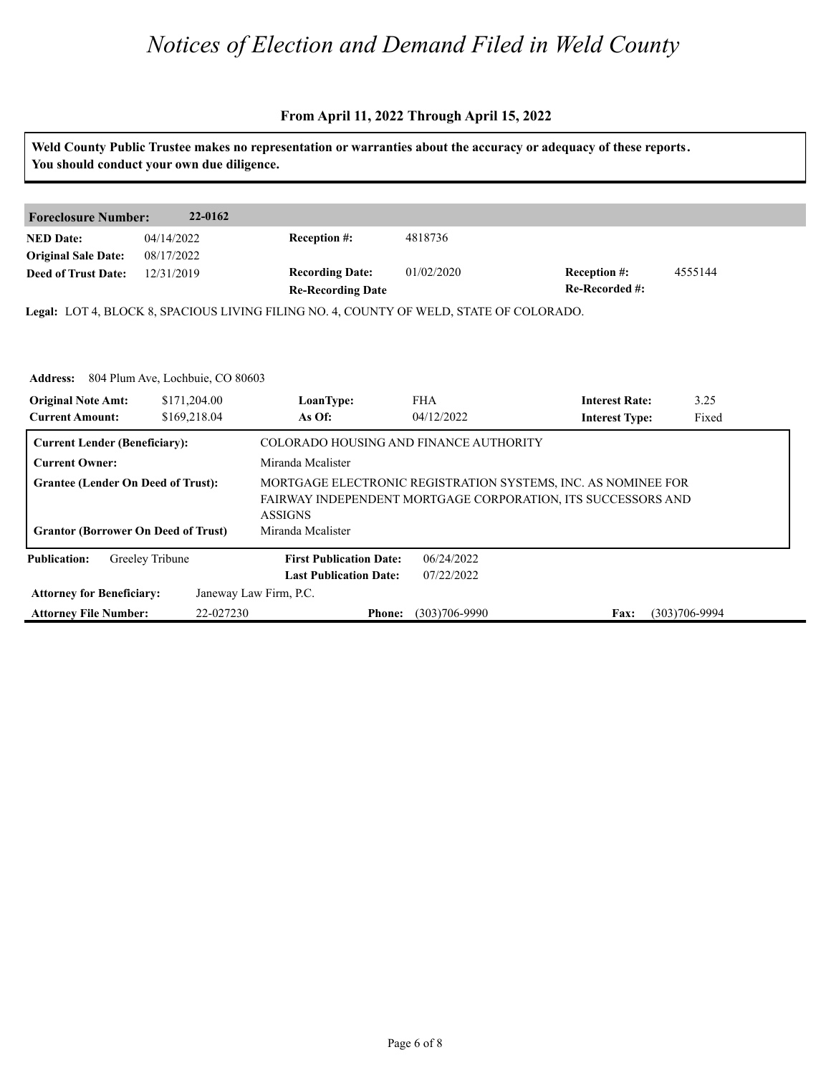|                                                |                                                  |                                                                                         |                   | Weld County Public Trustee makes no representation or warranties about the accuracy or adequacy of these reports.             |                   |
|------------------------------------------------|--------------------------------------------------|-----------------------------------------------------------------------------------------|-------------------|-------------------------------------------------------------------------------------------------------------------------------|-------------------|
|                                                | You should conduct your own due diligence.       |                                                                                         |                   |                                                                                                                               |                   |
| <b>Foreclosure Number:</b>                     | 22-0162                                          |                                                                                         |                   |                                                                                                                               |                   |
| <b>NED Date:</b><br><b>Original Sale Date:</b> | 04/14/2022<br>08/17/2022                         | <b>Reception #:</b>                                                                     | 4818736           |                                                                                                                               |                   |
| <b>Deed of Trust Date:</b>                     | 12/31/2019                                       | <b>Recording Date:</b><br><b>Re-Recording Date</b>                                      | 01/02/2020        | Reception #:<br>Re-Recorded #:                                                                                                | 4555144           |
|                                                |                                                  | Legal: LOT 4, BLOCK 8, SPACIOUS LIVING FILING NO. 4, COUNTY OF WELD, STATE OF COLORADO. |                   |                                                                                                                               |                   |
|                                                |                                                  |                                                                                         |                   |                                                                                                                               |                   |
|                                                | <b>Address:</b> 804 Plum Ave, Lochbuie, CO 80603 |                                                                                         |                   |                                                                                                                               |                   |
| <b>Original Note Amt:</b>                      | \$171,204.00                                     | LoanType:                                                                               | <b>FHA</b>        | <b>Interest Rate:</b>                                                                                                         | 3.25              |
| <b>Current Amount:</b>                         | \$169,218.04                                     | As Of:                                                                                  | 04/12/2022        | <b>Interest Type:</b>                                                                                                         | Fixed             |
| <b>Current Lender (Beneficiary):</b>           |                                                  | COLORADO HOUSING AND FINANCE AUTHORITY                                                  |                   |                                                                                                                               |                   |
| <b>Current Owner:</b>                          |                                                  | Miranda Mcalister                                                                       |                   |                                                                                                                               |                   |
| <b>Grantee (Lender On Deed of Trust):</b>      |                                                  | <b>ASSIGNS</b>                                                                          |                   | MORTGAGE ELECTRONIC REGISTRATION SYSTEMS, INC. AS NOMINEE FOR<br>FAIRWAY INDEPENDENT MORTGAGE CORPORATION, ITS SUCCESSORS AND |                   |
| <b>Grantor (Borrower On Deed of Trust)</b>     |                                                  | Miranda Mcalister                                                                       |                   |                                                                                                                               |                   |
| <b>Publication:</b>                            | Greeley Tribune                                  | <b>First Publication Date:</b>                                                          | 06/24/2022        |                                                                                                                               |                   |
|                                                |                                                  | <b>Last Publication Date:</b>                                                           | 07/22/2022        |                                                                                                                               |                   |
| <b>Attorney for Beneficiary:</b>               |                                                  | Janeway Law Firm, P.C.                                                                  |                   |                                                                                                                               |                   |
| <b>Attorney File Number:</b>                   | 22-027230                                        | <b>Phone:</b>                                                                           | $(303)706 - 9990$ | Fax:                                                                                                                          | $(303)706 - 9994$ |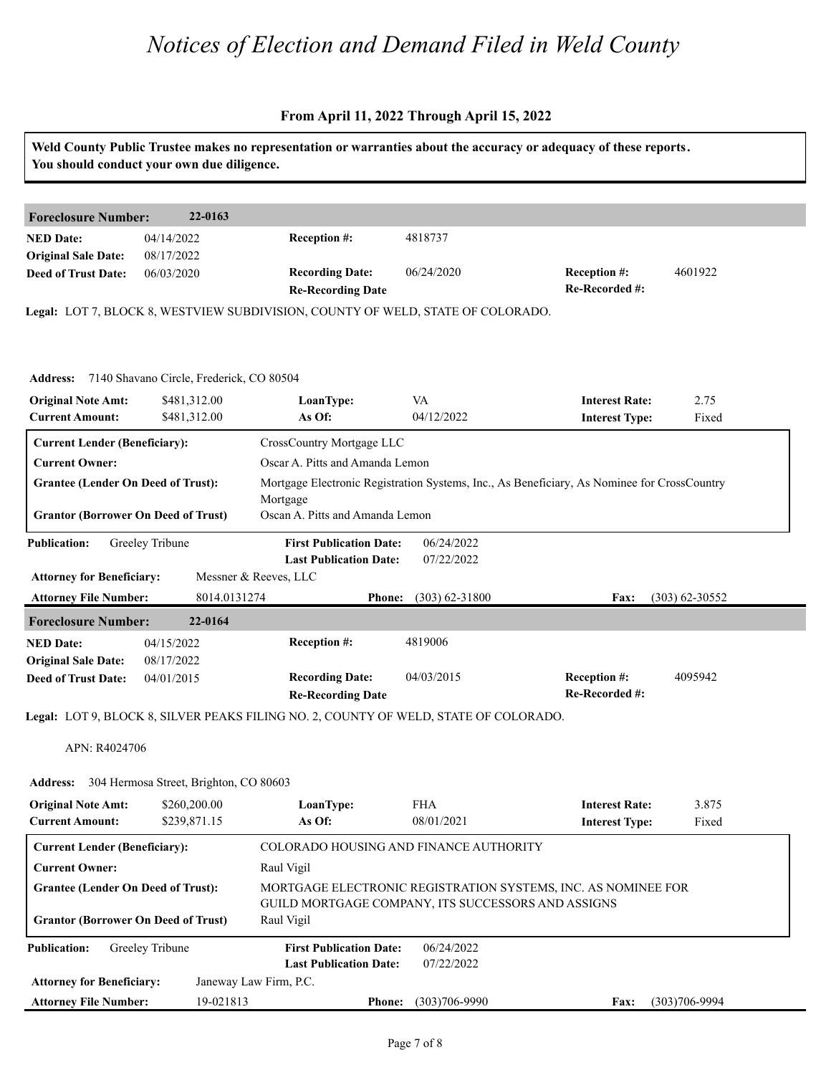|                                                          | You should conduct your own due diligence.        |                                                                                      |                          | Weld County Public Trustee makes no representation or warranties about the accuracy or adequacy of these reports. |                    |
|----------------------------------------------------------|---------------------------------------------------|--------------------------------------------------------------------------------------|--------------------------|-------------------------------------------------------------------------------------------------------------------|--------------------|
| <b>Foreclosure Number:</b>                               | 22-0163                                           |                                                                                      |                          |                                                                                                                   |                    |
| <b>NED Date:</b><br><b>Original Sale Date:</b>           | 04/14/2022<br>08/17/2022                          | Reception #:                                                                         | 4818737                  |                                                                                                                   |                    |
| <b>Deed of Trust Date:</b>                               | 06/03/2020                                        | <b>Recording Date:</b><br><b>Re-Recording Date</b>                                   | 06/24/2020               | <b>Reception #:</b><br>Re-Recorded #:                                                                             | 4601922            |
|                                                          |                                                   | Legal: LOT 7, BLOCK 8, WESTVIEW SUBDIVISION, COUNTY OF WELD, STATE OF COLORADO.      |                          |                                                                                                                   |                    |
|                                                          | Address: 7140 Shavano Circle, Frederick, CO 80504 |                                                                                      |                          |                                                                                                                   |                    |
| <b>Original Note Amt:</b><br><b>Current Amount:</b>      | \$481,312.00<br>\$481,312.00                      | LoanType:<br>As Of:                                                                  | VA<br>04/12/2022         | <b>Interest Rate:</b><br><b>Interest Type:</b>                                                                    | 2.75<br>Fixed      |
| <b>Current Lender (Beneficiary):</b>                     |                                                   | CrossCountry Mortgage LLC                                                            |                          |                                                                                                                   |                    |
| <b>Current Owner:</b>                                    |                                                   | Oscar A. Pitts and Amanda Lemon                                                      |                          |                                                                                                                   |                    |
| <b>Grantee (Lender On Deed of Trust):</b>                |                                                   |                                                                                      |                          | Mortgage Electronic Registration Systems, Inc., As Beneficiary, As Nominee for CrossCountry                       |                    |
|                                                          |                                                   | Mortgage                                                                             |                          |                                                                                                                   |                    |
| <b>Grantor (Borrower On Deed of Trust)</b>               |                                                   | Oscan A. Pitts and Amanda Lemon                                                      |                          |                                                                                                                   |                    |
| <b>Publication:</b>                                      | Greeley Tribune                                   | <b>First Publication Date:</b><br><b>Last Publication Date:</b>                      | 06/24/2022<br>07/22/2022 |                                                                                                                   |                    |
| <b>Attorney for Beneficiary:</b>                         |                                                   | Messner & Reeves, LLC                                                                |                          |                                                                                                                   |                    |
| <b>Attorney File Number:</b>                             | 8014.0131274                                      | <b>Phone:</b>                                                                        | $(303)$ 62-31800         | <b>Fax:</b>                                                                                                       | $(303) 62 - 30552$ |
| <b>Foreclosure Number:</b>                               | 22-0164                                           |                                                                                      |                          |                                                                                                                   |                    |
| <b>NED Date:</b>                                         | 04/15/2022                                        | Reception #:                                                                         | 4819006                  |                                                                                                                   |                    |
| <b>Original Sale Date:</b><br><b>Deed of Trust Date:</b> | 08/17/2022<br>04/01/2015                          | <b>Recording Date:</b><br><b>Re-Recording Date</b>                                   | 04/03/2015               | <b>Reception #:</b><br>Re-Recorded #:                                                                             | 4095942            |
|                                                          |                                                   | Legal: LOT 9, BLOCK 8, SILVER PEAKS FILING NO. 2, COUNTY OF WELD, STATE OF COLORADO. |                          |                                                                                                                   |                    |
| APN: R4024706                                            |                                                   |                                                                                      |                          |                                                                                                                   |                    |
| <b>Address:</b>                                          | 304 Hermosa Street, Brighton, CO 80603            |                                                                                      |                          |                                                                                                                   |                    |
| <b>Original Note Amt:</b><br><b>Current Amount:</b>      | \$260,200.00<br>\$239,871.15                      | LoanType:<br>As Of:                                                                  | <b>FHA</b><br>08/01/2021 | <b>Interest Rate:</b><br><b>Interest Type:</b>                                                                    | 3.875<br>Fixed     |
| <b>Current Lender (Beneficiary):</b>                     |                                                   | COLORADO HOUSING AND FINANCE AUTHORITY                                               |                          |                                                                                                                   |                    |
| <b>Current Owner:</b>                                    |                                                   | Raul Vigil                                                                           |                          |                                                                                                                   |                    |
| <b>Grantee (Lender On Deed of Trust):</b>                |                                                   |                                                                                      |                          | MORTGAGE ELECTRONIC REGISTRATION SYSTEMS, INC. AS NOMINEE FOR                                                     |                    |
| <b>Grantor (Borrower On Deed of Trust)</b>               |                                                   | GUILD MORTGAGE COMPANY, ITS SUCCESSORS AND ASSIGNS<br>Raul Vigil                     |                          |                                                                                                                   |                    |
| <b>Publication:</b>                                      | Greeley Tribune                                   | <b>First Publication Date:</b><br><b>Last Publication Date:</b>                      | 06/24/2022<br>07/22/2022 |                                                                                                                   |                    |
| <b>Attorney for Beneficiary:</b>                         |                                                   | Janeway Law Firm, P.C.                                                               |                          |                                                                                                                   |                    |
| <b>Attorney File Number:</b>                             | 19-021813                                         | <b>Phone:</b>                                                                        | $(303)706 - 9990$        | Fax:                                                                                                              | $(303)706 - 9994$  |